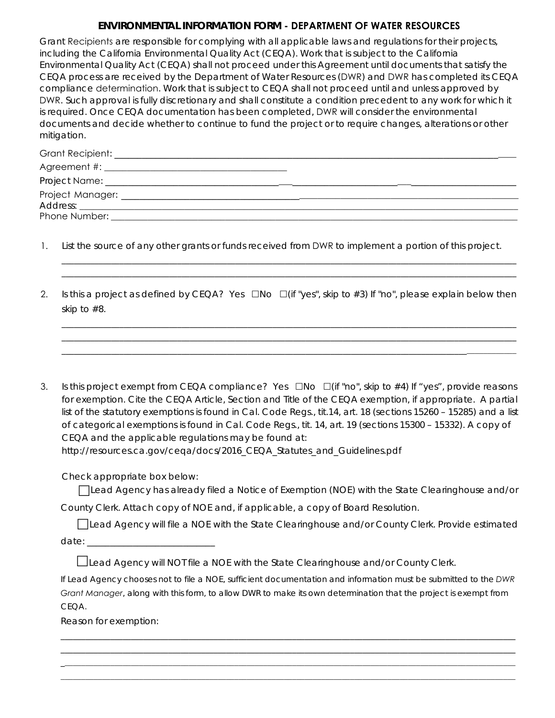## **ENVIRONMENTAL INFORMATION FORM - DEPARTMENT OF WATER RESOURCES**

Grant Recipients are responsible for complying with all applicable laws and regulations for their projects, including the California Environmental Quality Act (CEQA). Work that is subject to the California Environmental Quality Act (CEQA) shall not proceed under this Agreement until documents that satisfy the CEQA process are received by the Department of Water Resources (DWR) and DWR has completed its CEQA compliance determination. Work that is subject to CEQA shall not proceed until and unless approved by DWR. Such approval is fully discretionary and shall constitute a condition precedent to any work for which it is required. Once CEQA documentation has been completed, DWR will consider the environmental documents and decide whether to continue to fund the project or to require changes, alterations or other mitigation.

- 1. List the source of any other grants or funds received from DWR to implement a portion of this project.
- 2. Is this a project as defined by CEQA? Yes  $\Box$ No  $\Box$  (if "yes", skip to #3) If "no", please explain below then skip to #8.

\_\_\_\_\_\_\_\_\_\_\_\_\_\_\_\_\_\_\_\_\_\_\_\_\_\_\_\_\_\_\_\_\_\_\_\_\_\_\_\_\_\_\_\_\_\_\_\_\_\_\_\_\_\_\_\_\_\_\_\_\_\_\_\_\_\_\_\_\_\_\_\_\_\_\_\_\_\_\_\_\_\_\_\_\_\_\_\_\_\_\_\_\_\_\_\_\_\_\_\_\_\_\_\_\_\_\_\_\_\_ \_\_\_\_\_\_\_\_\_\_\_\_\_\_\_\_\_\_\_\_\_\_\_\_\_\_\_\_\_\_\_\_\_\_\_\_\_\_\_\_\_\_\_\_\_\_\_\_\_\_\_\_\_\_\_\_\_\_\_\_\_\_\_\_\_\_\_\_\_\_\_\_\_\_\_\_\_\_\_\_\_\_\_\_\_\_\_\_\_\_\_\_\_\_\_\_\_\_\_\_\_\_\_\_\_\_\_\_\_\_

\_\_\_\_\_\_\_\_\_\_\_\_\_\_\_\_\_\_\_\_\_\_\_\_\_\_\_\_\_\_\_\_\_\_\_\_\_\_\_\_\_\_\_\_\_\_\_\_\_\_\_\_\_\_\_\_\_\_\_\_\_\_\_\_\_\_\_\_\_\_\_\_\_\_\_\_\_\_\_\_\_\_\_\_\_\_\_\_\_\_\_\_\_\_\_\_\_\_\_\_\_\_\_\_\_\_\_\_\_\_ \_\_\_\_\_\_\_\_\_\_\_\_\_\_\_\_\_\_\_\_\_\_\_\_\_\_\_\_\_\_\_\_\_\_\_\_\_\_\_\_\_\_\_\_\_\_\_\_\_\_\_\_\_\_\_\_\_\_\_\_\_\_\_\_\_\_\_\_\_\_\_\_\_\_\_\_\_\_\_\_\_\_\_\_\_\_\_\_\_\_\_\_\_\_\_\_\_\_\_\_\_\_\_\_\_\_\_\_\_\_ \_\_\_\_\_\_\_\_\_\_\_\_\_\_\_\_\_\_\_\_\_\_\_\_\_\_\_\_\_\_\_\_\_\_\_\_\_\_\_\_\_\_\_\_\_\_\_\_\_\_\_\_\_\_\_\_\_\_\_\_\_\_\_\_\_\_\_\_\_\_\_\_\_\_\_\_\_\_\_\_\_\_\_\_\_\_\_\_\_\_\_\_\_\_\_\_\_\_\_\_\_\_\_\_\_\_\_\_\_\_

3. Is this project exempt from CEQA compliance? Yes  $\Box$ No  $\Box$  (if "no", skip to #4) If "yes", provide reasons for exemption. Cite the CEQA Article, Section and Title of the CEQA exemption, if appropriate. A partial list of the statutory exemptions is found in Cal. Code Regs., tit.14, art. 18 (sections 15260 – 15285) and a list of categorical exemptions is found in Cal. Code Regs., tit. 14, art. 19 (sections 15300 – 15332). A copy of CEQA and the applicable regulations may be found at: http://resources.ca.gov/cega/docs/2016 CEQA Statutes and Guidelines.pdf

Check appropriate box below:

Lead Agency has already filed a Notice of Exemption (NOE) with the State Clearinghouse and/or

County Clerk. Attach copy of NOE and, if applicable, a copy of Board Resolution.

Lead Agency will file a NOE with the State Clearinghouse and/or County Clerk. Provide estimated date: \_\_\_\_\_\_\_\_\_\_\_\_\_\_\_\_\_\_\_\_\_\_\_\_\_\_\_\_

Lead Agency will NOT file a NOE with the State Clearinghouse and/or County Clerk.

*If Lead Agency chooses not to file a NOE, sufficient documentation and information must be submitted to the DWR Grant Manager, along with this form, to allow DWR to make its own determination that the project is exempt from CEQA.*

\_\_\_\_\_\_\_\_\_\_\_\_\_\_\_\_\_\_\_\_\_\_\_\_\_\_\_\_\_\_\_\_\_\_\_\_\_\_\_\_\_\_\_\_\_\_\_\_\_\_\_\_\_\_\_\_\_\_\_\_\_\_\_\_\_\_\_\_\_\_\_\_\_\_\_\_\_\_\_\_\_\_\_\_\_\_\_\_\_\_\_\_\_\_\_\_\_\_\_\_\_\_\_\_\_\_\_\_\_\_ \_\_\_\_\_\_\_\_\_\_\_\_\_\_\_\_\_\_\_\_\_\_\_\_\_\_\_\_\_\_\_\_\_\_\_\_\_\_\_\_\_\_\_\_\_\_\_\_\_\_\_\_\_\_\_\_\_\_\_\_\_\_\_\_\_\_\_\_\_\_\_\_\_\_\_\_\_\_\_\_\_\_\_\_\_\_\_\_\_\_\_\_\_\_\_\_\_\_\_\_\_\_\_\_\_\_\_\_\_\_  $\_$  , and the set of the set of the set of the set of the set of the set of the set of the set of the set of the set of the set of the set of the set of the set of the set of the set of the set of the set of the set of th  $\_$  , and the set of the set of the set of the set of the set of the set of the set of the set of the set of the set of the set of the set of the set of the set of the set of the set of the set of the set of the set of th

Reason for exemption: